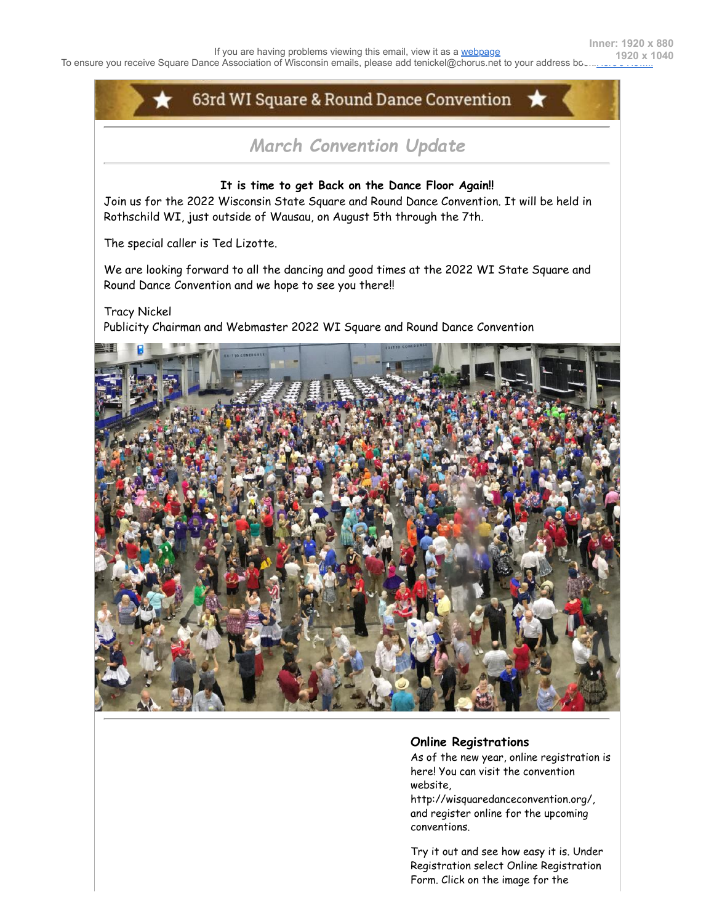

## **Online Registrations**

As of the new year, online registration is here! You can visit the convention website,

http://wisquaredanceconvention.org/, and register online for the upcoming conventions.

Try it out and see how easy it is. Under Registration select Online Registration Form. Click on the image for the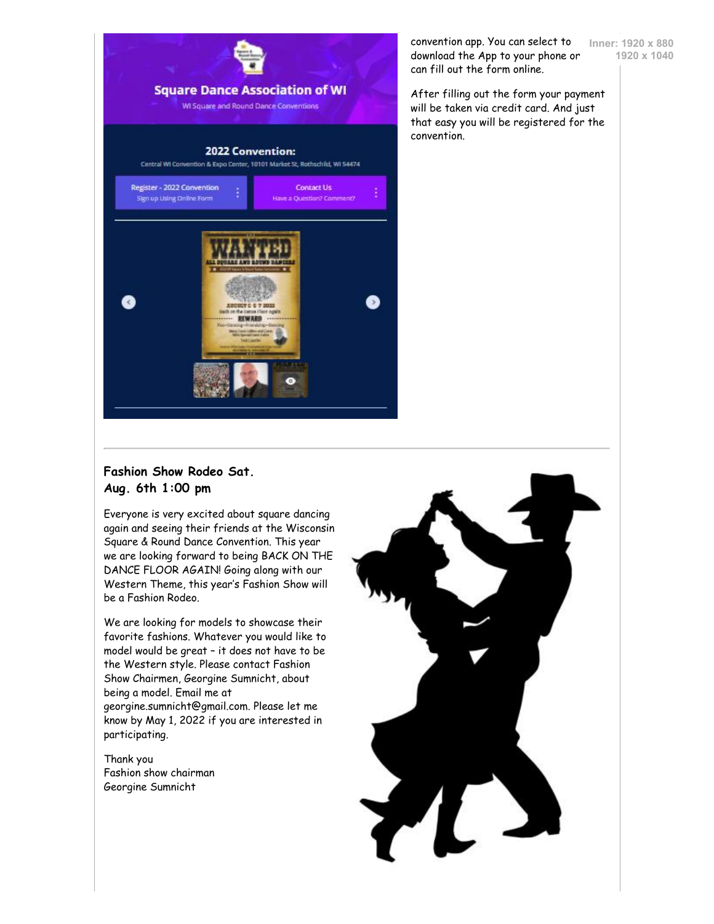

convention app. You can select to download the App to your phone or can fill out the form online.

**Inner: 1920 x 880 1920 x 1040**

After filling out the form your payment will be taken via credit card. And just that easy you will be registered for the convention.

## **Fashion Show Rodeo Sat. Aug. 6th 1:00 pm**

Everyone is very excited about square dancing again and seeing their friends at the Wisconsin Square & Round Dance Convention. This year we are looking forward to being BACK ON THE DANCE FLOOR AGAIN! Going along with our Western Theme, this year's Fashion Show will be a Fashion Rodeo.

We are looking for models to showcase their favorite fashions. Whatever you would like to model would be great – it does not have to be the Western style. Please contact Fashion Show Chairmen, Georgine Sumnicht, about being a model. Email me at georgine.sumnicht@gmail.com. Please let me know by May 1, 2022 if you are interested in participating.

Thank you Fashion show chairman Georgine Sumnicht